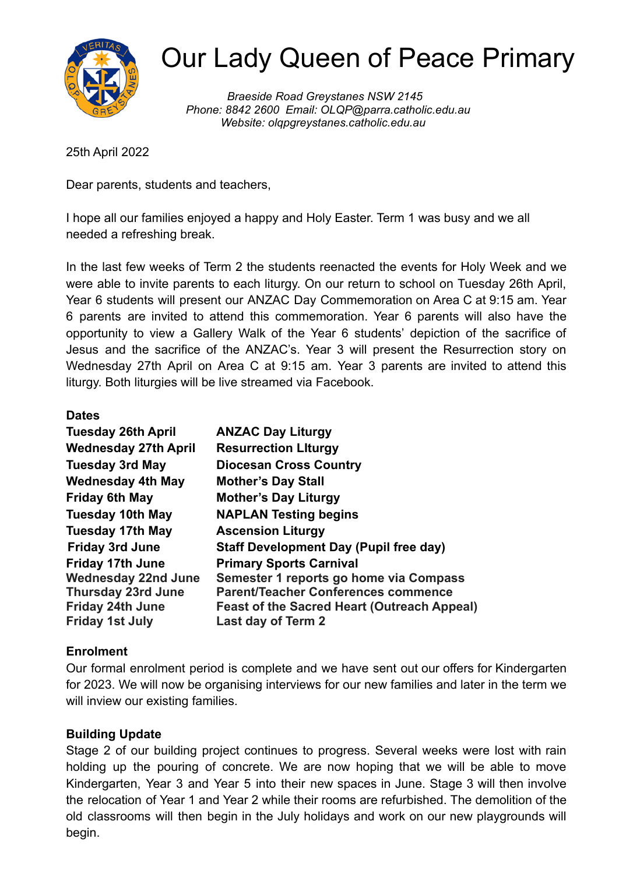

# Our Lady Queen of Peace Primary

*Braeside Road Greystanes NSW 2145 Phone: 8842 2600 Email: OLQP@parra.catholic.edu.au Website: olqpgreystanes.catholic.edu.au*

25th April 2022

Dear parents, students and teachers,

I hope all our families enjoyed a happy and Holy Easter. Term 1 was busy and we all needed a refreshing break.

In the last few weeks of Term 2 the students reenacted the events for Holy Week and we were able to invite parents to each liturgy. On our return to school on Tuesday 26th April, Year 6 students will present our ANZAC Day Commemoration on Area C at 9:15 am. Year 6 parents are invited to attend this commemoration. Year 6 parents will also have the opportunity to view a Gallery Walk of the Year 6 students' depiction of the sacrifice of Jesus and the sacrifice of the ANZAC's. Year 3 will present the Resurrection story on Wednesday 27th April on Area C at 9:15 am. Year 3 parents are invited to attend this liturgy. Both liturgies will be live streamed via Facebook.

#### **Dates**

| <b>Tuesday 26th April</b>   | <b>ANZAC Day Liturgy</b>                           |
|-----------------------------|----------------------------------------------------|
| <b>Wednesday 27th April</b> | <b>Resurrection Liturgy</b>                        |
| <b>Tuesday 3rd May</b>      | <b>Diocesan Cross Country</b>                      |
| <b>Wednesday 4th May</b>    | <b>Mother's Day Stall</b>                          |
| <b>Friday 6th May</b>       | <b>Mother's Day Liturgy</b>                        |
| <b>Tuesday 10th May</b>     | <b>NAPLAN Testing begins</b>                       |
| <b>Tuesday 17th May</b>     | <b>Ascension Liturgy</b>                           |
| <b>Friday 3rd June</b>      | <b>Staff Development Day (Pupil free day)</b>      |
| <b>Friday 17th June</b>     | <b>Primary Sports Carnival</b>                     |
| <b>Wednesday 22nd June</b>  | Semester 1 reports go home via Compass             |
| <b>Thursday 23rd June</b>   | <b>Parent/Teacher Conferences commence</b>         |
| <b>Friday 24th June</b>     | <b>Feast of the Sacred Heart (Outreach Appeal)</b> |
| <b>Friday 1st July</b>      | Last day of Term 2                                 |

### **Enrolment**

Our formal enrolment period is complete and we have sent out our offers for Kindergarten for 2023. We will now be organising interviews for our new families and later in the term we will inview our existing families.

### **Building Update**

Stage 2 of our building project continues to progress. Several weeks were lost with rain holding up the pouring of concrete. We are now hoping that we will be able to move Kindergarten, Year 3 and Year 5 into their new spaces in June. Stage 3 will then involve the relocation of Year 1 and Year 2 while their rooms are refurbished. The demolition of the old classrooms will then begin in the July holidays and work on our new playgrounds will begin.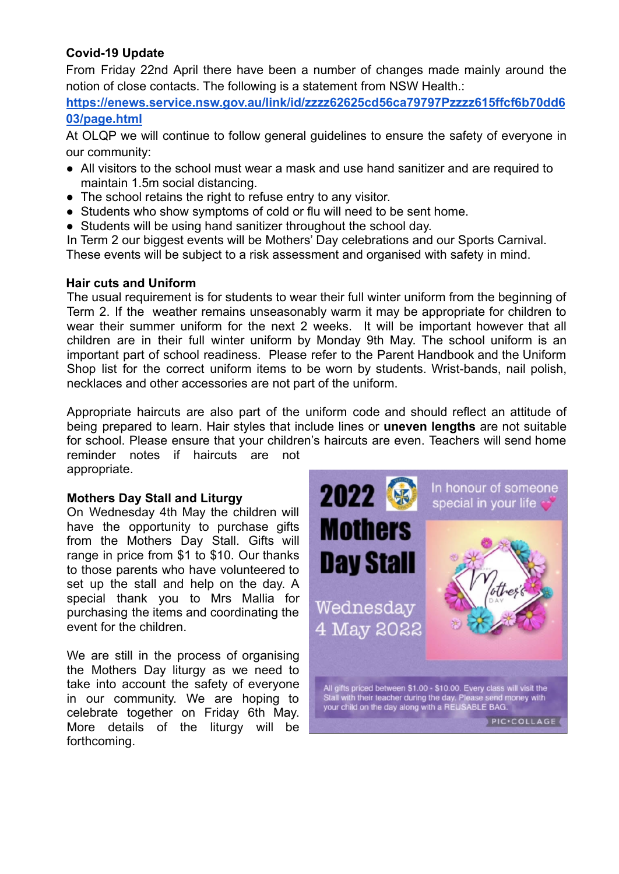## **Covid-19 Update**

From Friday 22nd April there have been a number of changes made mainly around the notion of close contacts. The following is a statement from NSW Health.:

**[https://enews.service.nsw.gov.au/link/id/zzzz62625cd56ca79797Pzzzz615ffcf6b70dd6](https://enews.service.nsw.gov.au/link/id/zzzz62625cd56ca79797Pzzzz615ffcf6b70dd603/page.html) [03/page.html](https://enews.service.nsw.gov.au/link/id/zzzz62625cd56ca79797Pzzzz615ffcf6b70dd603/page.html)**

At OLQP we will continue to follow general guidelines to ensure the safety of everyone in our community:

- All visitors to the school must wear a mask and use hand sanitizer and are required to maintain 1.5m social distancing.
- The school retains the right to refuse entry to any visitor.
- Students who show symptoms of cold or flu will need to be sent home.
- Students will be using hand sanitizer throughout the school day.

In Term 2 our biggest events will be Mothers' Day celebrations and our Sports Carnival. These events will be subject to a risk assessment and organised with safety in mind.

#### **Hair cuts and Uniform**

The usual requirement is for students to wear their full winter uniform from the beginning of Term 2. If the weather remains unseasonably warm it may be appropriate for children to wear their summer uniform for the next 2 weeks. It will be important however that all children are in their full winter uniform by Monday 9th May. The school uniform is an important part of school readiness. Please refer to the Parent Handbook and the Uniform Shop list for the correct uniform items to be worn by students. Wrist-bands, nail polish, necklaces and other accessories are not part of the uniform.

Appropriate haircuts are also part of the uniform code and should reflect an attitude of being prepared to learn. Hair styles that include lines or **uneven lengths** are not suitable for school. Please ensure that your children's haircuts are even. Teachers will send home reminder notes if haircuts are not appropriate.

# **Mothers Day Stall and Liturgy**

On Wednesday 4th May the children will have the opportunity to purchase gifts from the Mothers Day Stall. Gifts will range in price from \$1 to \$10. Our thanks to those parents who have volunteered to set up the stall and help on the day. A special thank you to Mrs Mallia for purchasing the items and coordinating the event for the children.

We are still in the process of organising the Mothers Day liturgy as we need to take into account the safety of everyone in our community. We are hoping to celebrate together on Friday 6th May. More details of the liturgy will be forthcoming.